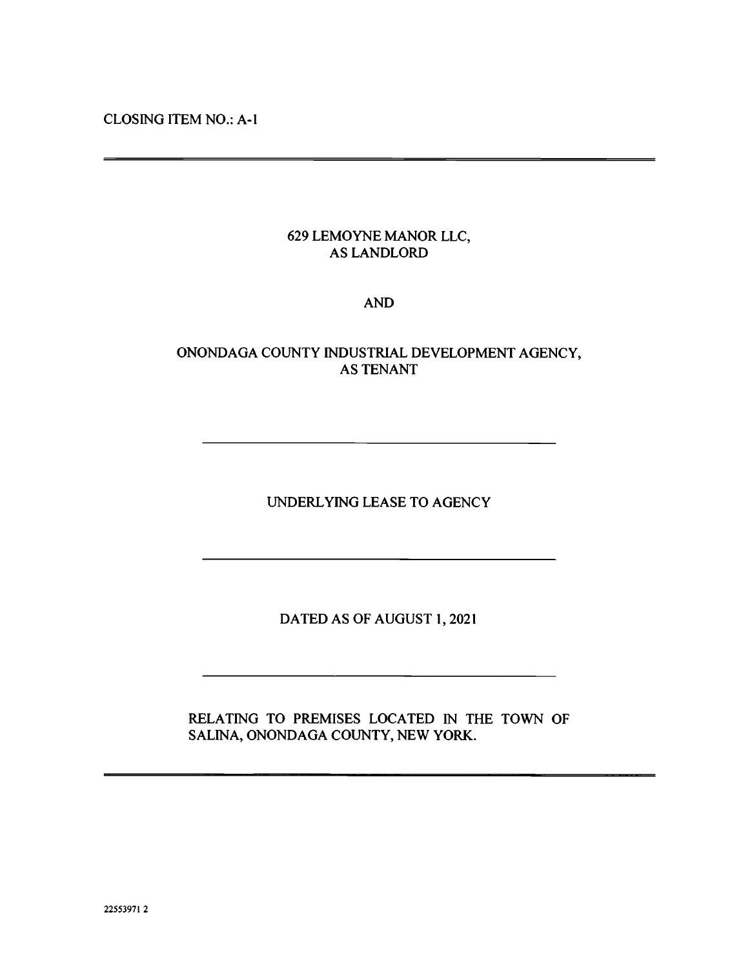CLOSING ITEM NO.: A-i

# 629 LEMOYNE MANOR LLC, AS LANDLORD

## AND

# ONONDAGA COUNTY INDUSTRIAL DEVELOPMENT AGENCY, AS TENANT

UNDERLYING LEASE TO AGENCY

DATED AS OF AUGUST 1, 2021

RELATING TO PREMISES LOCATED IN THE TOWN OF SALINA, ONONDAGA COUNTY, NEW YORK.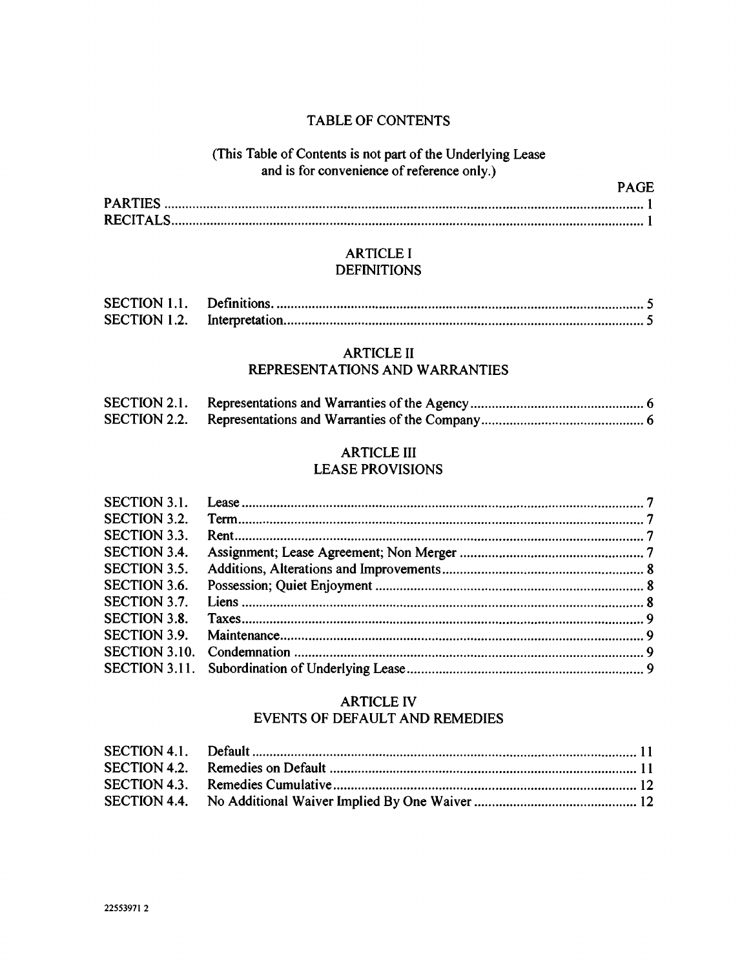## TABLE OF CONTENTS

## (This Table of Contents is not part of the Underlying Lease and is for convenience of reference only.)

PAGE

## ARTICLE I **DEFINITIONS**

| <b>SECTION 1.1.</b> |  |
|---------------------|--|
| SECTION 1.2.        |  |

## ARTICLE II

# REPRESENTATIONS AND WARRANTIES

| <b>SECTION 2.1.</b> |  |
|---------------------|--|
|                     |  |

# ARTICLE III

# LEASE PROVISIONS

| <b>SECTION 3.1.</b>  |  |
|----------------------|--|
| <b>SECTION 3.2.</b>  |  |
| <b>SECTION 3.3.</b>  |  |
| <b>SECTION 3.4.</b>  |  |
| <b>SECTION 3.5.</b>  |  |
| SECTION 3.6.         |  |
| SECTION 3.7.         |  |
| <b>SECTION 3.8.</b>  |  |
| SECTION 3.9.         |  |
| <b>SECTION 3.10.</b> |  |
|                      |  |

## ARTICLE IV EVENTS OF DEFAULT AND REMEDIES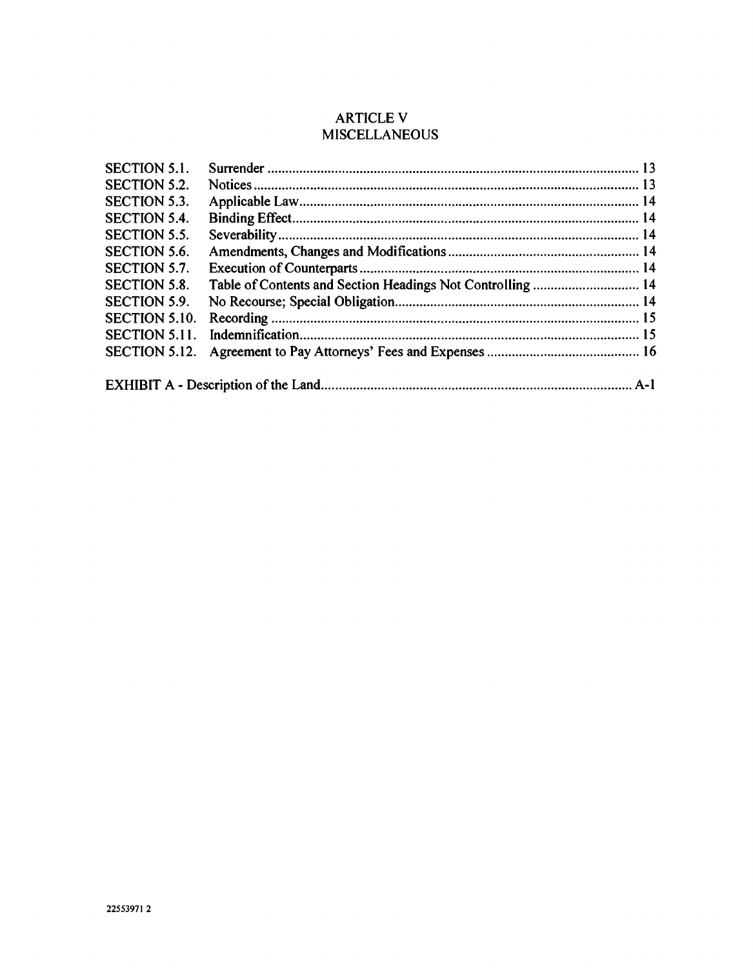# ARTICLE V **MISCELLANEOUS**

| <b>SECTION 5.1.</b>  |  |  |  |
|----------------------|--|--|--|
| <b>SECTION 5.2.</b>  |  |  |  |
| <b>SECTION 5.3.</b>  |  |  |  |
| <b>SECTION 5.4.</b>  |  |  |  |
| <b>SECTION 5.5.</b>  |  |  |  |
| <b>SECTION 5.6.</b>  |  |  |  |
| <b>SECTION 5.7.</b>  |  |  |  |
| <b>SECTION 5.8.</b>  |  |  |  |
| <b>SECTION 5.9.</b>  |  |  |  |
| <b>SECTION 5.10.</b> |  |  |  |
| SECTION 5.11.        |  |  |  |
| <b>SECTION 5.12.</b> |  |  |  |
|                      |  |  |  |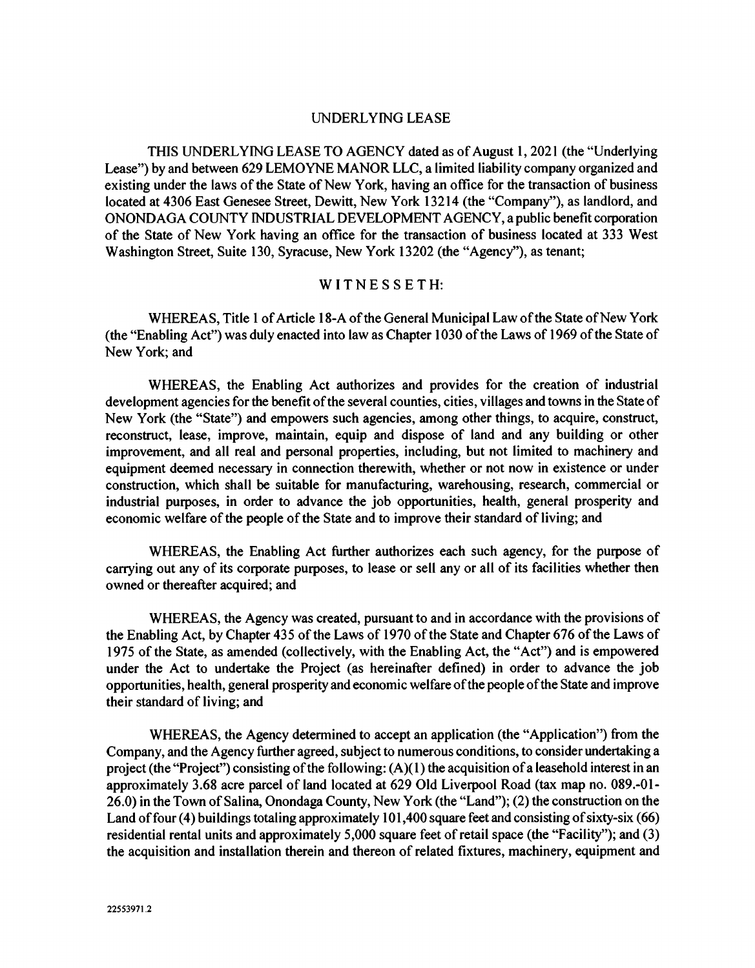#### UNDERLYING LEASE

THIS UNDERLYING LEASE TO AGENCY dated as of August 1, 2021 (the "Underlying Lease") by and between 629 LEMOYNE MANOR LLC, a limited liability company organized and existing under the laws of the State of New York, having an office for the transaction of business located at 4306 East Genesee Street, Dewitt, New York 13214 (the "Company"), as landlord, and ONONDAGA COUNTY INDUSTRIAL DEVELOPMENT AGENCY, a public benefit corporation of the State of New York having an office for the transaction of business located at 333 West Washington Street, Suite 130, Syracuse, New York 13202 (the "Agency"), as tenant;

#### WITNESSETH:

WHEREAS, Title 1 of Article 18-A of the General Municipal Law of the State of New York (the "Enabling Act") was duly enacted into law as Chapter 1030 of the Laws of 1969 of the State of New York; and

WHEREAS, the Enabling Act authorizes and provides for the creation of industrial development agencies for the benefit of the several counties, cities, villages and towns in the State of New York (the "State") and empowers such agencies, among other things, to acquire, construct, reconstruct, lease, improve, maintain, equip and dispose of land and any building or other improvement, and all real and personal properties, including, but not limited to machinery and equipment deemed necessary in connection therewith, whether or not now in existence or under construction, which shall be suitable for manufacturing, warehousing, research, commercial or industrial purposes, in order to advance the job opportunities, health, general prosperity and economic welfare of the people of the State and to improve their standard of living; and

WHEREAS, the Enabling Act further authorizes each such agency, for the purpose of carrying out any of its corporate purposes, to lease or sell any or all of its facilities whether then owned or thereafter acquired; and

WHEREAS, the Agency was created, pursuant to and in accordance with the provisions of the Enabling Act, by Chapter 435 of the Laws of 1970 of the State and Chapter 676 of the Laws of 1975 of the State, as amended (collectively, with the Enabling Act, the "Act") and is empowered under the Act to undertake the Project (as hereinafter defined) in order to advance the job opportunities, health, general prosperity and economic welfare of the people of the State and improve their standard of living; and

WHEREAS, the Agency determined to accept an application (the "Application") from the Company, and the Agency further agreed, subject to numerous conditions, to consider undertaking a project (the "Project") consisting of the following: (A)(I) the acquisition of a leasehold interest in an approximately 3.68 acre parcel of land located at 629 Old Liverpool Road (tax map no. 089.-Ol-26.0) in the Town of Salina, Onondaga County, New York (the "Land"); (2) the construction on the Land of four (4) buildings totaling approximately 101,400 square feet and consisting of sixty-six (66) residential rental units and approximately 5,000 square feet of retail space (the "Facility"); and (3) the acquisition and installation therein and thereon of related fixtures, machinery, equipment and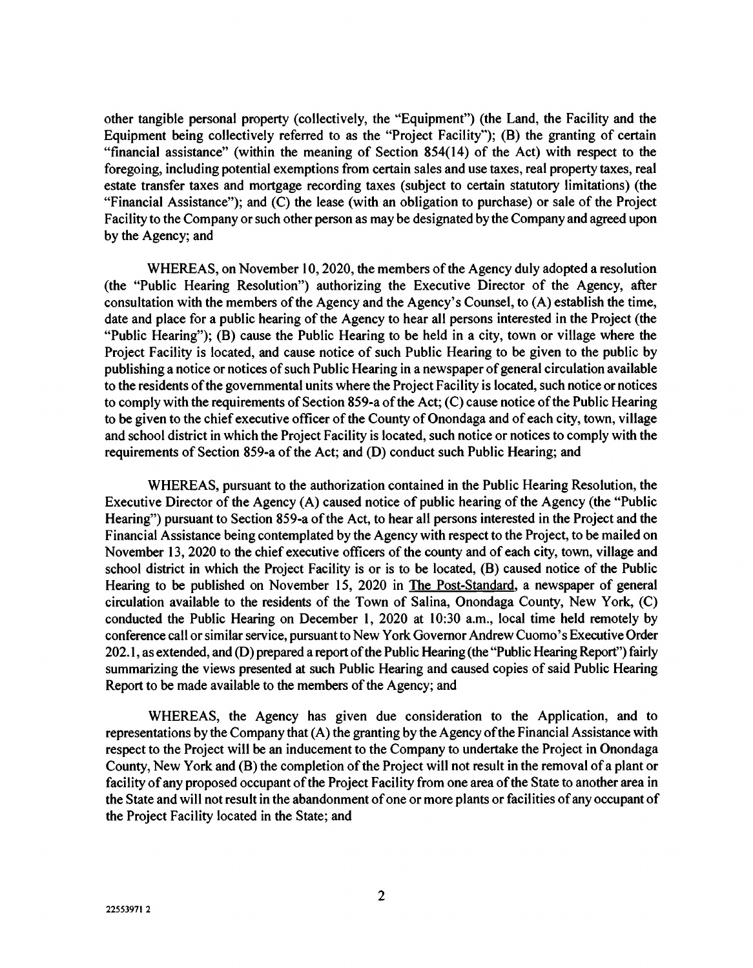other tangible personal property (collectively, the "Equipment") (the Land, the Facility and the Equipment being collectively referred to as the "Project Facility"); (B) the granting of certain "financial assistance" (within the meaning of Section 854(14) of the Act) with respect to the foregoing, including potential exemptions from certain sales and use taxes, real property taxes, real estate transfer taxes and mortgage recording taxes (subject to certain statutory limitations) (the "Financial Assistance"); and (C) the lease (with an obligation to purchase) or sale of the Project Facility to the Company or such other person as may be designated by the Company and agreed upon by the Agency; and

WHEREAS, on November 10, 2020, the members of the Agency duly adopted a resolution (the "Public Hearing Resolution") authorizing the Executive Director of the Agency, after consultation with the members of the Agency and the Agency's Counsel, to (A) establish the time, date and place for a public hearing of the Agency to hear all persons interested in the Project (the "Public Hearing"); (B) cause the Public Hearing to be held in a city, town or village where the Project Facility is located, and cause notice of such Public Hearing to be given to the public by publishing a notice or notices of such Public Hearing in a newspaper of general circulation available to the residents of the governmental units where the Project Facility is located, such notice or notices to comply with the requirements of Section 859-a of the Act; (C) cause notice of the Public Hearing to be given to the chief executive officer of the County of Onondaga and of each city, town, village and school district in which the Project Facility is located, such notice or notices to comply with the requirements of Section 859-a of the Act; and (D) conduct such Public Hearing; and

WHEREAS, pursuant to the authorization contained in the Public Hearing Resolution, the Executive Director of the Agency (A) caused notice of public hearing of the Agency (the "Public Hearing") pursuant to Section 859-a of the Act, to hear all persons interested in the Project and the Financial Assistance being contemplated by the Agency with respect to the Project, to be mailed on November 13, 2020 to the chief executive officers of the county and of each city, town, village and school district in which the Project Facility is or is to be located, (B) caused notice of the Public Hearing to be published on November 15, 2020 in The Post-Standard, a newspaper of general circulation available to the residents of the Town of Salina, Onondaga County, New York, (C) conducted the Public Hearing on December 1, 2020 at 10:30 a.m., local time held remotely by conference call or similar service, pursuant to New York Governor Andrew Cuomo's Executive Order 202. 1, as extended, and (D) prepared a report of the Public Hearing (the "Public Hearing Report") fairly summarizing the views presented at such Public Hearing and caused copies of said Public Hearing Report to be made available to the members of the Agency; and

WHEREAS, the Agency has given due consideration to the Application, and to representations by the Company that (A) the granting by the Agency of the Financial Assistance with respect to the Project will be an inducement to the Company to undertake the Project in Onondaga County, New York and (B) the completion of the Project will not result in the removal of a plant or facility of any proposed occupant of the Project Facility from one area of the State to another area in the State and will not result in the abandonment of one or more plants or facilities of any occupant of the Project Facility located in the State; and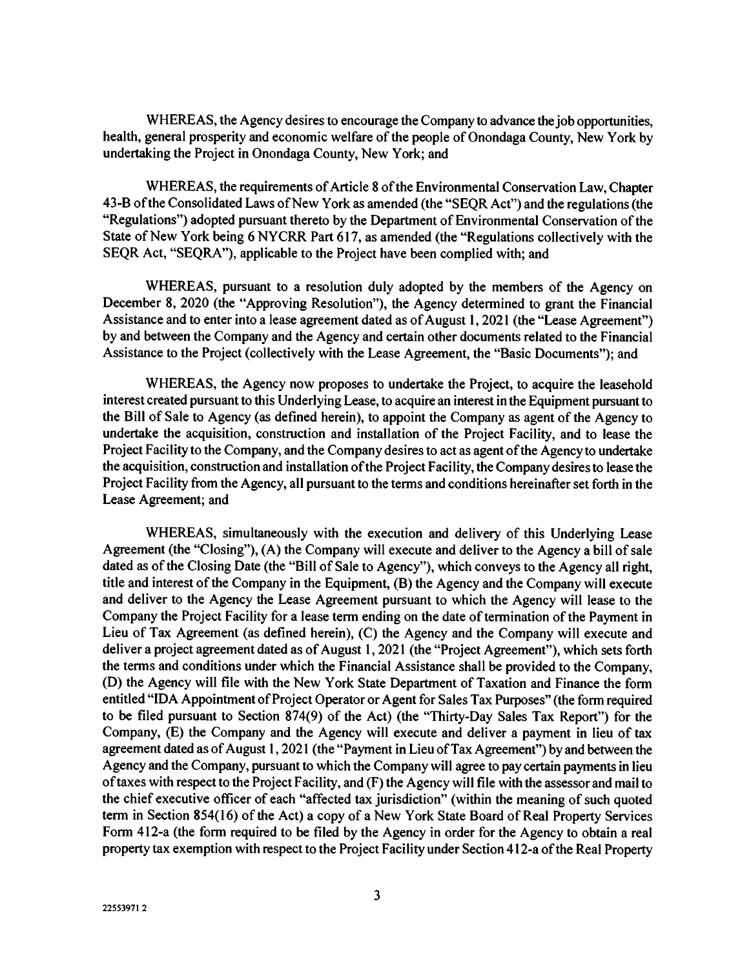WHEREAS, the Agency desires to encourage the Company to advance the job opportunities, health, general prosperity and economic welfare of the people of Onondaga County, New York by undertaking the Project in Onondaga County, New York; and

WHEREAS, the requirements of Article 8 of the Environmental Conservation Law, Chapter 43-B of the Consolidated Laws of New York as amended (the "SEQR Act") and the regulations (the "Regulations") adopted pursuant thereto by the Department of Environmental Conservation of the State of New York being 6 NYCRR Part 617, as amended (the "Regulations collectively with the SEQR Act, "SEQRA"), applicable to the Project have been complied with; and

WHEREAS, pursuant to a resolution duly adopted by the members of the Agency on December 8, 2020 (the "Approving Resolution"), the Agency determined to grant the Financial Assistance and to enter into a lease agreement dated as of August 1, 2021 (the "Lease Agreement") by and between the Company and the Agency and certain other documents related to the Financial Assistance to the Project (collectively with the Lease Agreement, the "Basic Documents"); and

WHEREAS, the Agency now proposes to undertake the Project, to acquire the leasehold interest created pursuant to this Underlying Lease, to acquire an interest in the Equipment pursuant to the Bill of Sale to Agency (as defined herein), to appoint the Company as agent of the Agency to undertake the acquisition, construction and installation of the Project Facility, and to lease the Project Facility to the Company, and the Company desires to act as agent of the Agency to undertake the acquisition, construction and installation of the Project Facility, the Company desires to lease the Project Facility from the Agency, all pursuant to the terms and conditions hereinafter set forth in the Lease Agreement; and

WHEREAS, simultaneously with the execution and delivery of this Underlying Lease Agreement (the "Closing"), (A) the Company will execute and deliver to the Agency a bill of sale dated as of the Closing Date (the "Bill of Sale to Agency"), which conveys to the Agency all right, title and interest of the Company in the Equipment, (B) the Agency and the Company will execute and deliver to the Agency the Lease Agreement pursuant to which the Agency will lease to the Company the Project Facility for a lease term ending on the date of termination of the Payment in Lieu of Tax Agreement (as defined herein), (C) the Agency and the Company will execute and deliver a project agreement dated as of August 1, 2021 (the "Project Agreement"), which sets forth the terms and conditions under which the Financial Assistance shall be provided to the Company, (D) the Agency will file with the New York State Department of Taxation and Finance the form entitled "IDA Appointment of Project Operator or Agent for Sales Tax Purposes" (the form required to be filed pursuant to Section 874(9) of the Act) (the "Thirty-Day Sales Tax Report") for the Company, (E) the Company and the Agency will execute and deliver a payment in lieu of tax agreement dated as of August 1, 2021 (the "Payment in Lieu of Tax Agreement") by and between the Agency and the Company, pursuant to which the Company will agree to pay certain payments in lieu of taxes with respect to the Project Facility, and (F) the Agency will file with the assessor and mail to the chief executive officer of each "affected tax jurisdiction" (within the meaning of such quoted term in Section 854(16) of the Act) a copy of a New York State Board of Real Property Services Form 412-a (the form required to be filed by the Agency in order for the Agency to obtain a real property tax exemption with respect to the Project Facility under Section 412-a of the Real Property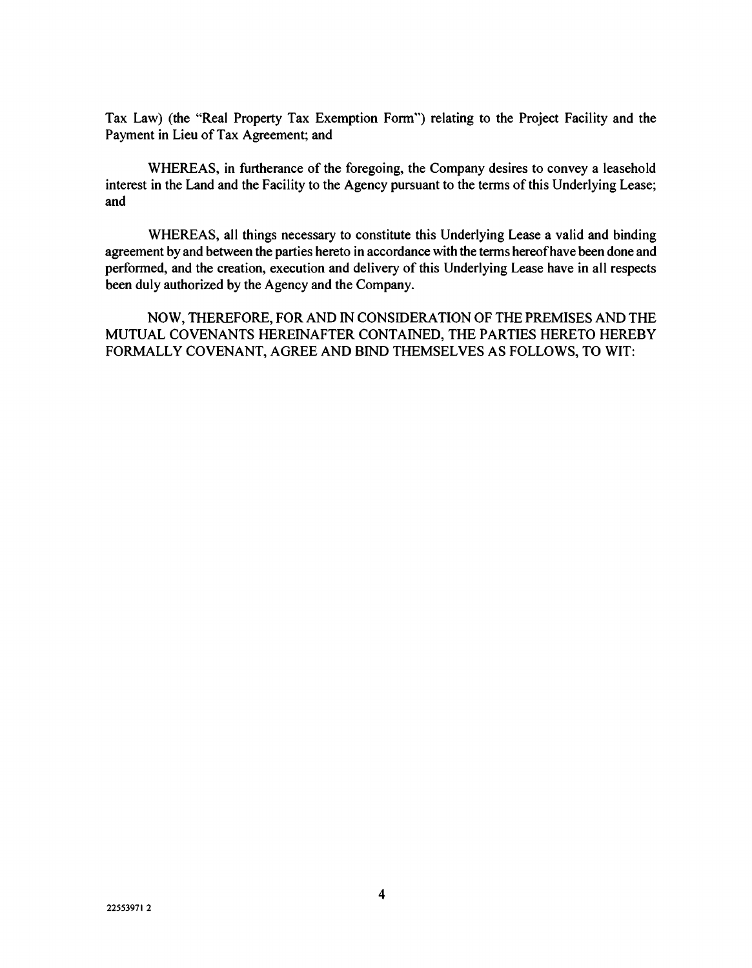Tax Law) (the "Real Property Tax Exemption Form") relating to the Project Facility and the Payment in Lieu of Tax Agreement; and

WHEREAS, in furtherance of the foregoing, the Company desires to convey a leasehold interest in the Land and the Facility to the Agency pursuant to the terms of this Underlying Lease; and

WHEREAS, all things necessary to constitute this Underlying Lease a valid and binding agreement by and between the parties hereto in accordance with the terms hereof have been done and performed, and the creation, execution and delivery of this Underlying Lease have in all respects been duly authorized by the Agency and the Company.

NOW, THEREFORE, FOR AND IN CONSIDERATION OF THE PREMISES AND THE MUTUAL COVENANTS HEREINAFTER CONTAINED, THE PARTIES HERETO HEREBY FORMALLY COVENANT, AGREE AND BIND THEMSELVES AS FOLLOWS, TO WIT: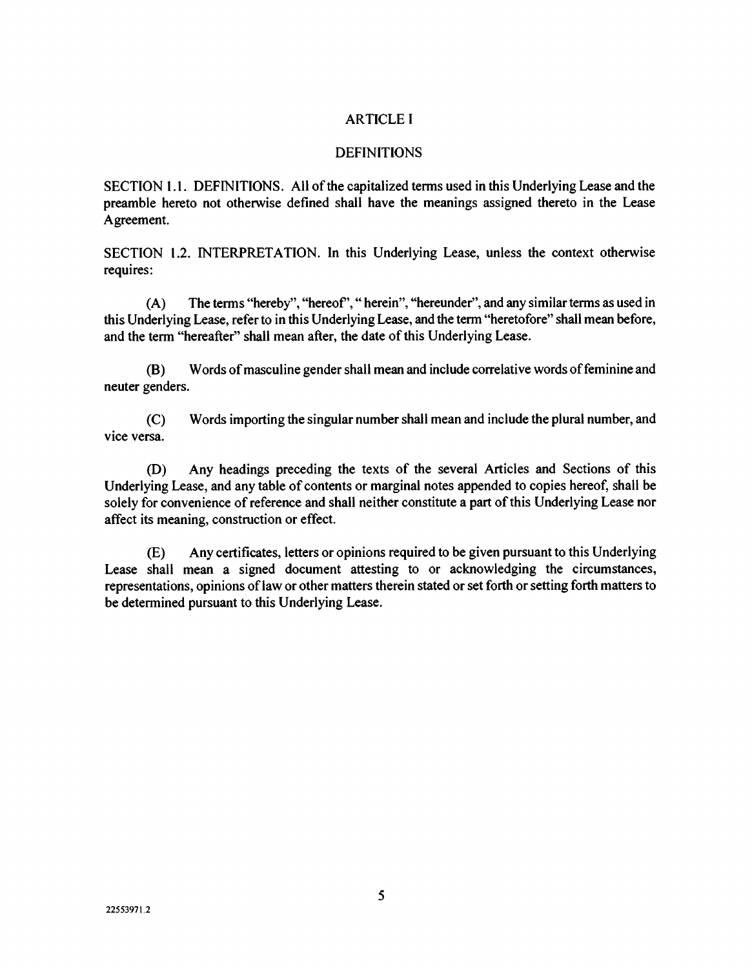## ARTICLE I

### **DEFINITIONS**

SECTION 1.1. DEFINITIONS. All of the capitalized terms used in this Underlying Lease and the preamble hereto not otherwise defined shall have the meanings assigned thereto in the Lease Agreement.

SECTION 1.2. INTERPRETATION. In this Underlying Lease, unless the context otherwise requires:

(A) The terms "hereby", "hereof'," herein", "hereunder", and any similar terms as used in this Underlying Lease, refer to in this Underlying Lease, and the term "heretofore" shall mean before, and the term "hereafter" shall mean after, the date of this Underlying Lease.

(B) Words of masculine gender shall mean and include correlative words of feminine and neuter genders.

(C) Words importing the singular number shall mean and include the plural number, and vice versa.

(D) Any headings preceding the texts of the several Articles and Sections of this Underlying Lease, and any table of contents or marginal notes appended to copies hereof, shall be solely for convenience of reference and shall neither constitute a part of this Underlying Lease nor affect its meaning, construction or effect.

(E) Any certificates, letters or opinions required to be given pursuant to this Underlying Lease shall mean a signed document attesting to or acknowledging the circumstances, representations, opinions of law or other matters therein stated or set forth or setting forth matters to be determined pursuant to this Underlying Lease.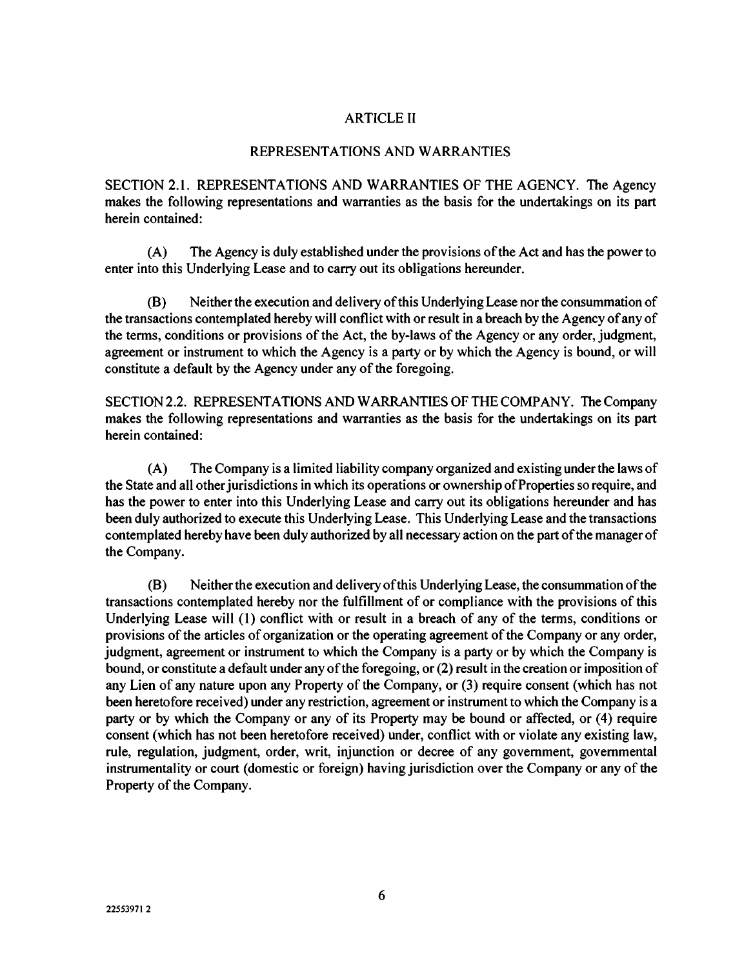## ARTICLE II

#### REPRESENTATIONS AND WARRANTIES

SECTION 2.1. REPRESENTATIONS AND WARRANTIES OF THE AGENCY. The Agency makes the following representations and warranties as the basis for the undertakings on its part herein contained:

(A) The Agency is duly established under the provisions of the Act and has the power to enter into this Underlying Lease and to carry out its obligations hereunder.

(B) Neither the execution and delivery of this Underlying Lease nor the consummation of the transactions contemplated hereby will conflict with or result in a breach by the Agency of any of the terms, conditions or provisions of the Act, the by-laws of the Agency or any order, judgment, agreement or instrument to which the Agency is a party or by which the Agency is bound, or will constitute a default by the Agency under any of the foregoing.

SECTION 2.2. REPRESENTATIONS AND WARRANTIES OF THE COMPANY. The Company makes the following representations and warranties as the basis for the undertakings on its part herein contained:

(A) The Company is a limited liability company organized and existing under the laws of the State and all other jurisdictions in which its operations or ownership of Properties so require, and has the power to enter into this Underlying Lease and carry out its obligations hereunder and has been duly authorized to execute this Underlying Lease. This Underlying Lease and the transactions contemplated hereby have been duly authorized by all necessary action on the part of the manager of the Company.

(B) Neither the execution and delivery of this Underlying Lease, the consummation of the transactions contemplated hereby nor the fulfillment of or compliance with the provisions of this Underlying Lease will (1) conflict with or result in a breach of any of the terms, conditions or provisions of the articles of organization or the operating agreement of the Company or any order, judgment, agreement or instrument to which the Company is a party or by which the Company is bound, or constitute a default under any of the foregoing, or (2) result in the creation or imposition of any Lien of any nature upon any Property of the Company, or (3) require consent (which has not been heretofore received) under any restriction, agreement or instrument to which the Company is a party or by which the Company or any of its Property may be bound or affected, or (4) require consent (which has not been heretofore received) under, conflict with or violate any existing law, rule, regulation, judgment, order, writ, injunction or decree of any government, governmental instrumentality or court (domestic or foreign) having jurisdiction over the Company or any of the Property of the Company.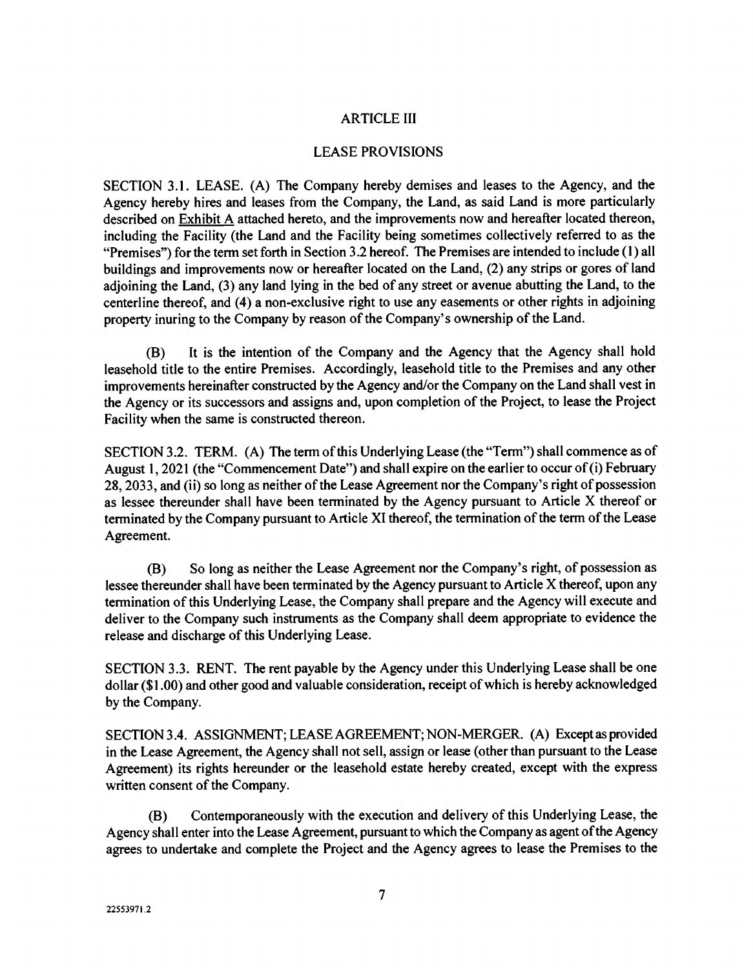## ARTICLE III

## LEASE PROVISIONS

SECTION 3.1. LEASE. (A) The Company hereby demises and leases to the Agency, and the Agency hereby hires and leases from the Company, the Land, as said Land is more particularly described on Exhibit A attached hereto, and the improvements now and hereafter located thereon, including the Facility (the Land and the Facility being sometimes collectively referred to as the "Premises") for the term set forth in Section 3.2 hereof. The Premises are intended to include (1) all buildings and improvements now or hereafter located on the Land, (2) any strips or gores of land adjoining the Land, (3) any land lying in the bed of any street or avenue abutting the Land, to the centerline thereof, and (4) a non-exclusive right to use any easements or other rights in adjoining property inuring to the Company by reason of the Company's ownership of the Land.

(B) It is the intention of the Company and the Agency that the Agency shall hold leasehold title to the entire Premises. Accordingly, leasehold title to the Premises and any other improvements hereinafter constructed by the Agency and/or the Company on the Land shall vest in the Agency or its successors and assigns and, upon completion of the Project, to lease the Project Facility when the same is constructed thereon.

SECTION 3.2. TERM. (A) The term of this Underlying Lease (the "Term") shall commence as of August 1, 2021 (the "Commencement Date") and shall expire on the earlier to occur of (i) February 28, 2033, and (ii) so long as neither of the Lease Agreement nor the Company's right of possession as lessee thereunder shall have been terminated by the Agency pursuant to Article X thereof or terminated by the Company pursuant to Article XI thereof, the termination of the term of the Lease Agreement.

(B) So long as neither the Lease Agreement nor the Company's right, of possession as lessee thereunder shall have been terminated by the Agency pursuant to Article X thereof, upon any termination of this Underlying Lease, the Company shall prepare and the Agency will execute and deliver to the Company such instruments as the Company shall deem appropriate to evidence the release and discharge of this Underlying Lease.

SECTION 3.3. RENT. The rent payable by the Agency under this Underlying Lease shall be one dollar (\$1.00) and other good and valuable consideration, receipt of which is hereby acknowledged by the Company.

SECTION 3.4. ASSIGNMENT; LEASE AGREEMENT; NON-MERGER. (A) Except as provided in the Lease Agreement, the Agency shall not sell, assign or lease (other than pursuant to the Lease Agreement) its rights hereunder or the leasehold estate hereby created, except with the express written consent of the Company.

(B) Contemporaneously with the execution and delivery of this Underlying Lease, the Agency shall enter into the Lease Agreement, pursuant to which the Company as agent of the Agency agrees to undertake and complete the Project and the Agency agrees to lease the Premises to the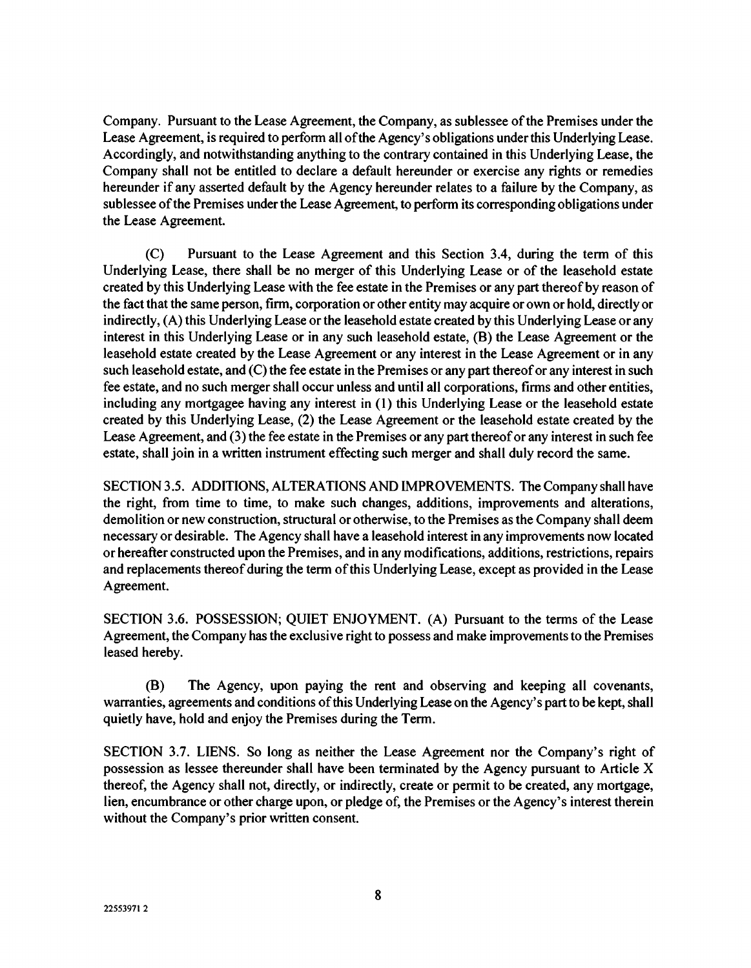Company. Pursuant to the Lease Agreement, the Company, as sublessee of the Premises under the Lease Agreement, is required to perform all of the Agency's obligations under this Underlying Lease. Accordingly, and notwithstanding anything to the contrary contained in this Underlying Lease, the Company shall not be entitled to declare a default hereunder or exercise any rights or remedies hereunder if any asserted default by the Agency hereunder relates to a failure by the Company, as sublessee of the Premises under the Lease Agreement, to perform its corresponding obligations under the Lease Agreement.

(C) Pursuant to the Lease Agreement and this Section 3.4, during the term of this Underlying Lease, there shall be no merger of this Underlying Lease or of the leasehold estate created by this Underlying Lease with the fee estate in the Premises or any part thereof by reason of the fact that the same person, firm, corporation or other entity may acquire or own or hold, directly or indirectly, (A) this Underlying Lease or the leasehold estate created by this Underlying Lease or any interest in this Underlying Lease or in any such leasehold estate, (B) the Lease Agreement or the leasehold estate created by the Lease Agreement or any interest in the Lease Agreement or in any such leasehold estate, and (C) the fee estate in the Premises or any part thereof or any interest in such fee estate, and no such merger shall occur unless and until all corporations, firms and other entities, including any mortgagee having any interest in (1) this Underlying Lease or the leasehold estate created by this Underlying Lease, (2) the Lease Agreement or the leasehold estate created by the Lease Agreement, and (3) the fee estate in the Premises or any part thereof or any interest in such fee estate, shall join in a written instrument effecting such merger and shall duly record the same.

SECTION 3.5. ADDITIONS, ALTERATIONS AND IMPROVEMENTS. The Company shall have the right, from time to time, to make such changes, additions, improvements and alterations, demolition or new construction, structural or otherwise, to the Premises as the Company shall deem necessary or desirable. The Agency shall have a leasehold interest in any improvements now located or hereafter constructed upon the Premises, and in any modifications, additions, restrictions, repairs and replacements thereof during the term of this Underlying Lease, except as provided in the Lease Agreement.

SECTION 3.6. POSSESSION; QUIET ENJOYMENT. (A) Pursuant to the terms of the Lease Agreement, the Company has the exclusive right to possess and make improvements to the Premises leased hereby.

(B) The Agency, upon paying the rent and observing and keeping all covenants, warranties, agreements and conditions of this Underlying Lease on the Agency's part to be kept, shall quietly have, hold and enjoy the Premises during the Term.

SECTION 3.7. LIENS. So long as neither the Lease Agreement nor the Company's right of possession as lessee thereunder shall have been terminated by the Agency pursuant to Article X thereof, the Agency shall not, directly, or indirectly, create or permit to be created, any mortgage, lien, encumbrance or other charge upon, or pledge of, the Premises or the Agency's interest therein without the Company's prior written consent.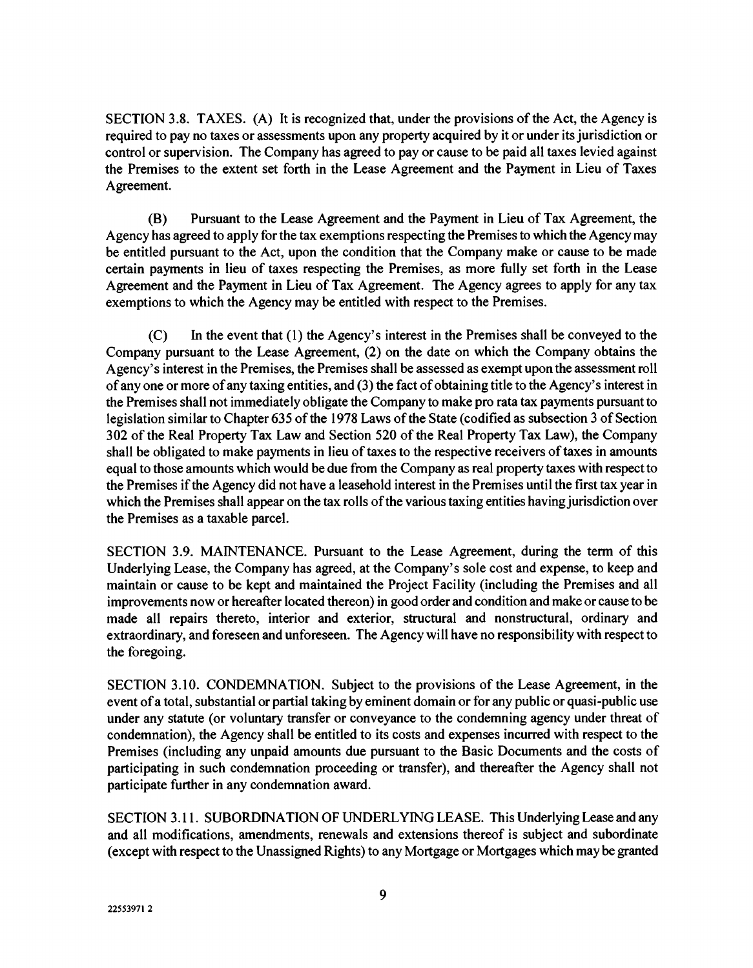SECTION 3.8. TAXES. (A) It is recognized that, under the provisions of the Act, the Agency is required to pay no taxes or assessments upon any property acquired by it or under its jurisdiction or control or supervision. The Company has agreed to pay or cause to be paid all taxes levied against the Premises to the extent set forth in the Lease Agreement and the Payment in Lieu of Taxes Agreement.

(B) Pursuant to the Lease Agreement and the Payment in Lieu of Tax Agreement, the Agency has agreed to apply for the tax exemptions respecting the Premises to which the Agency may be entitled pursuant to the Act, upon the condition that the Company make or cause to be made certain payments in lieu of taxes respecting the Premises, as more fully set forth in the Lease Agreement and the Payment in Lieu of Tax Agreement. The Agency agrees to apply for any tax exemptions to which the Agency may be entitled with respect to the Premises.

(C) In the event that (1) the Agency's interest in the Premises shall be conveyed to the Company pursuant to the Lease Agreement, (2) on the date on which the Company obtains the Agency's interest in the Premises, the Premises shall be assessed as exempt upon the assessment roll of any one or more of any taxing entities, and (3) the fact of obtaining title to the Agency's interest in the Premises shall not immediately obligate the Company to make pro rata tax payments pursuant to legislation similar to Chapter 635 of the 1978 Laws of the State (codified as subsection 3 of Section 302 of the Real Property Tax Law and Section 520 of the Real Property Tax Law), the Company shall be obligated to make payments in lieu of taxes to the respective receivers of taxes in amounts equal to those amounts which would be due from the Company as real property taxes with respect to the Premises if the Agency did not have a leasehold interest in the Premises until the first tax year in which the Premises shall appear on the tax rolls of the various taxing entities having jurisdiction over the Premises as a taxable parcel.

SECTION 3.9. MAINTENANCE. Pursuant to the Lease Agreement, during the term of this Underlying Lease, the Company has agreed, at the Company's sole cost and expense, to keep and maintain or cause to be kept and maintained the Project Facility (including the Premises and all improvements now or hereafter located thereon) in good order and condition and make or cause to be made all repairs thereto, interior and exterior, structural and nonstructural, ordinary and extraordinary, and foreseen and unforeseen. The Agency will have no responsibility with respect to the foregoing.

SECTION 3.10. CONDEMNATION. Subject to the provisions of the Lease Agreement, in the event of a total, substantial or partial taking by eminent domain or for any public or quasi-public use under any statute (or voluntary transfer or conveyance to the condemning agency under threat of condemnation), the Agency shall be entitled to its costs and expenses incurred with respect to the Premises (including any unpaid amounts due pursuant to the Basic Documents and the costs of participating in such condemnation proceeding or transfer), and thereafter the Agency shall not participate further in any condemnation award.

SECTION 3.11. SUBORDINATION OF UNDERLYING LEASE. This Underlying Lease and any and all modifications, amendments, renewals and extensions thereof is subject and subordinate (except with respect to the Unassigned Rights) to any Mortgage or Mortgages which may be granted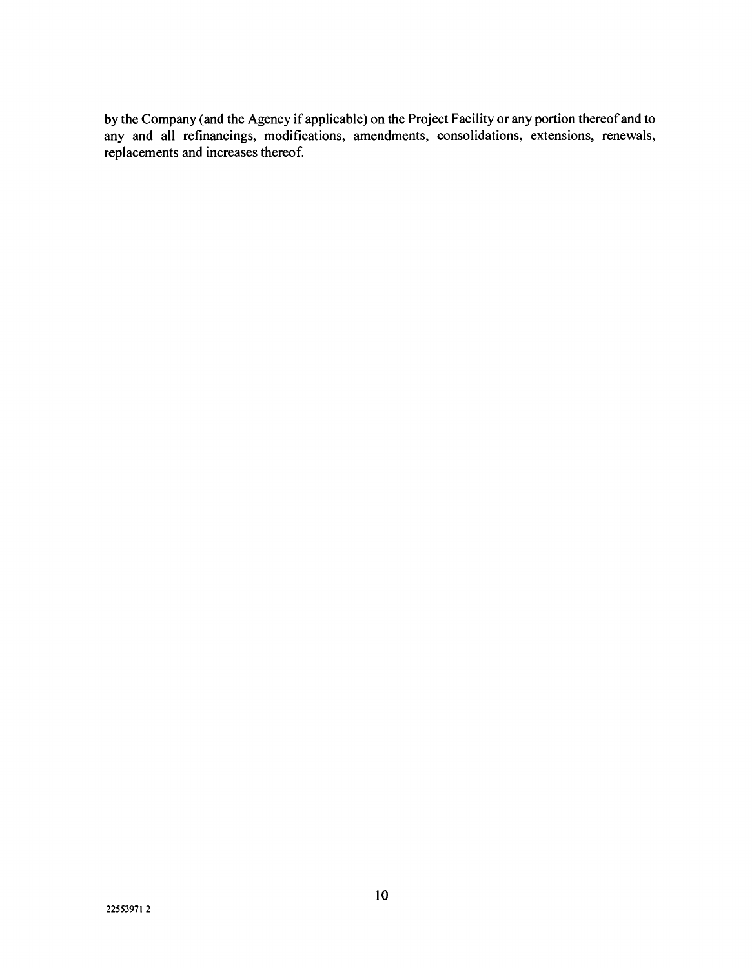by the Company (and the Agency if applicable) on the Project Facility or any portion thereof and to any and all refinancings, modifications, amendments, consolidations, extensions, renewals, replacements and increases thereof.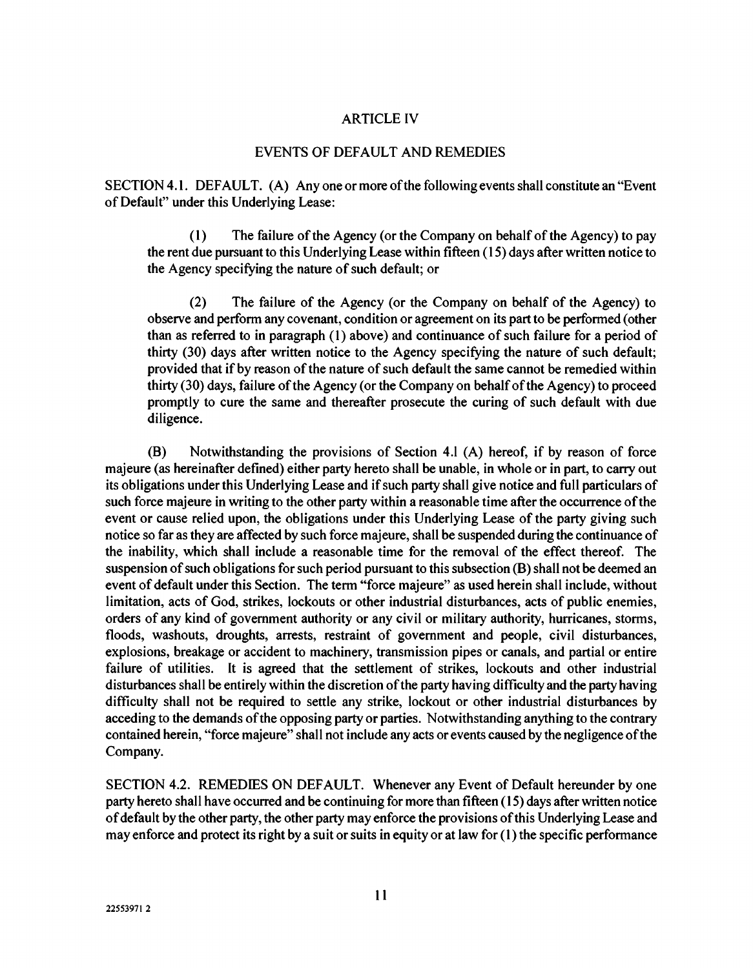#### ARTICLE IV

#### EVENTS OF DEFAULT AND REMEDIES

SECTION 4.1. DEFAULT. (A) Anyone or more of the following events shall constitute an "Event of Default" under this Underlying Lease:

(1) The failure of the Agency (or the Company on behalf of the Agency) to pay the rent due pursuant to this Underlying Lease within fifteen (15) days after written notice to the Agency specifying the nature of such default; or

(2) The failure of the Agency (or the Company on behalf of the Agency) to observe and perform any covenant, condition or agreement on its part to be performed (other than as referred to in paragraph (1) above) and continuance of such failure for a period of thirty (30) days after written notice to the Agency specifying the nature of such default; provided that if by reason of the nature of such default the same cannot be remedied within thirty (30) days, failure of the Agency (or the Company on behalf of the Agency) to proceed promptly to cure the same and thereafter prosecute the curing of such default with due diligence.

(B) Notwithstanding the provisions of Section 4.1 (A) hereof, if by reason of force majeure (as hereinafter defined) either party hereto shall be unable, in whole or in part, to carry out its obligations under this Underlying Lease and if such party shall give notice and full particulars of such force majeure in writing to the other party within a reasonable time after the occurrence of the event or cause relied upon, the obligations under this Underlying Lease of the party giving such notice so far as they are affected by such force majeure, shall be suspended during the continuance of the inability, which shall include a reasonable time for the removal of the effect thereof. The suspension of such obligations for such period pursuant to this subsection (B) shall not be deemed an event of default under this Section. The term "force majeure" as used herein shall include, without limitation, acts of God, strikes, lockouts or other industrial disturbances, acts of public enemies, orders of any kind of government authority or any civil or military authority, hurricanes, storms, floods, washouts, droughts, arrests, restraint of government and people, civil disturbances, explosions, breakage or accident to machinery, transmission pipes or canals, and partial or entire failure of utilities. It is agreed that the settlement of strikes, lockouts and other industrial disturbances shall be entirely within the discretion of the party having difficulty and the party having difficulty shall not be required to settle any strike, lockout or other industrial disturbances by acceding to the demands of the opposing party or parties. Notwithstanding anything to the contrary contained herein, "force majeure" shall not include any acts or events caused by the negligence of the Company.

SECTION 4.2. REMEDIES ON DEFAULT. Whenever any Event of Default hereunder by one party hereto shall have occurred and be continuing for more than fifteen (15) days after written notice of default by the other party, the other party may enforce the provisions of this Underlying Lease and may enforce and protect its right by a suit or suits in equity or at law for (1) the specific performance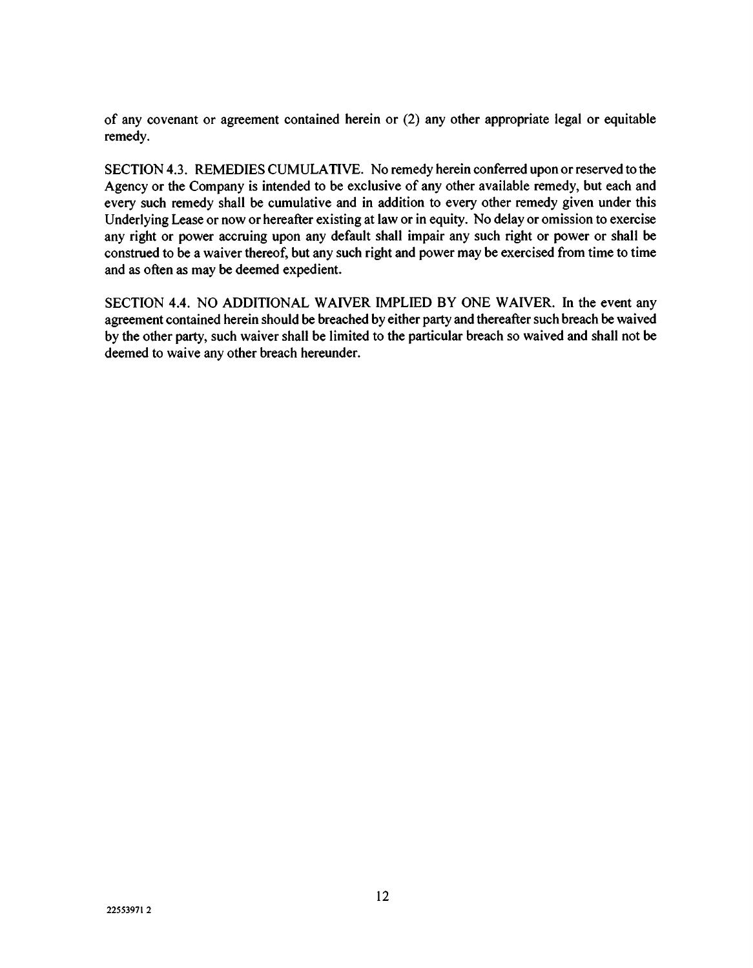of any covenant or agreement contained herein or (2) any other appropriate legal or equitable remedy.

SECTION 4.3. REMEDIES CUMULATIVE. No remedy herein conferred upon or reserved to the Agency or the Company is intended to be exclusive of any other available remedy, but each and every such remedy shall be cumulative and in addition to every other remedy given under this Underlying Lease or now or hereafter existing at law or in equity. No delay or omission to exercise any right or power accruing upon any default shall impair any such right or power or shall be construed to be a waiver thereof, but any such right and power may be exercised from time to time and as often as may be deemed expedient.

SECTION 4.4. NO ADDITIONAL WAIVER IMPLIED BY ONE WAIVER. In the event any agreement contained herein should be breached by either party and thereafter such breach be waived by the other party, such waiver shall be limited to the particular breach so waived and shall not be deemed to waive any other breach hereunder.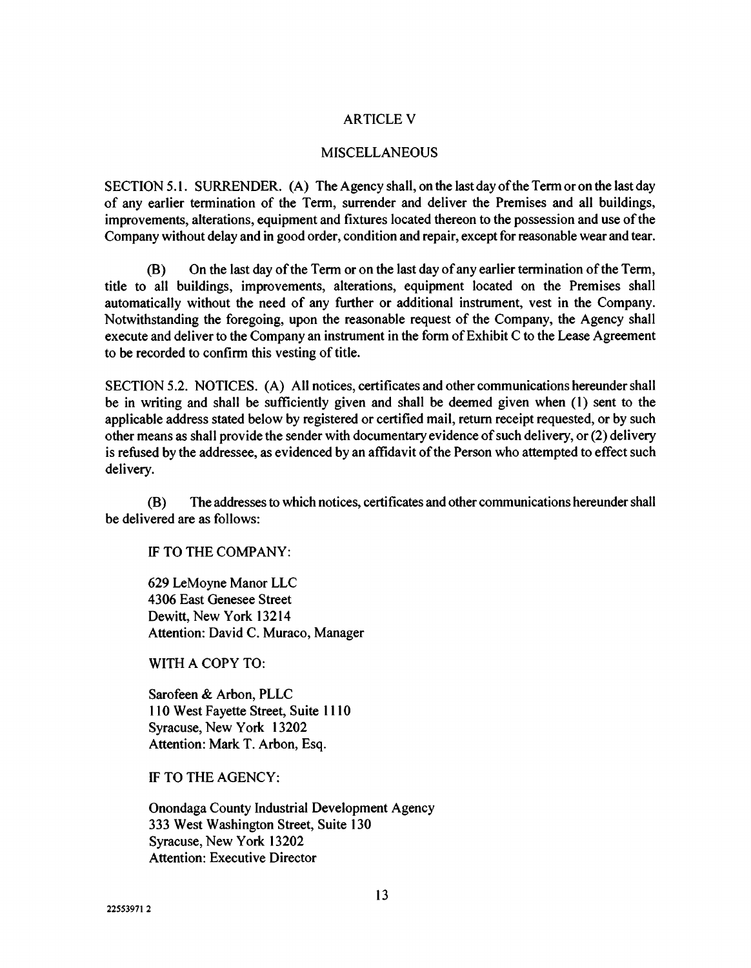#### ARTICLE V

#### MISCELLANEOUS

SECTION 5.1. SURRENDER. (A) The Agency shall, on the last day of the Term or on the last day of any earlier termination of the Term, surrender and deliver the Premises and all buildings, improvements, alterations, equipment and fixtures located thereon to the possession and use of the Company without delay and in good order, condition and repair, except for reasonable wear and tear.

(B) On the last day of the Term or on the last day of any earlier termination of the Term, title to all buildings, improvements, alterations, equipment located on the Premises shall automatically without the need of any further or additional instrument, vest in the Company. Notwithstanding the foregoing, upon the reasonable request of the Company, the Agency shall execute and deliver to the Company an instrument in the form of Exhibit C to the Lease Agreement to be recorded to confirm this vesting of title.

SECTION 5.2. NOTICES. (A) All notices, certificates and other communications hereunder shall be in writing and shall be sufficiently given and shall be deemed given when (1) sent to the applicable address stated below by registered or certified mail, return receipt requested, or by such other means as shall provide the sender with documentary evidence of such delivery, or (2) delivery is refused by the addressee, as evidenced by an affidavit of the Person who attempted to effect such delivery.

(B) The addresses to which notices, certificates and other communications hereunder shall be delivered are as follows:

IF TO THE COMPANY:

629 LeMoyne Manor LLC 4306 East Genesee Street Dewitt, New York 13214 Attention: David C. Muraco, Manager

WITH A COPY TO:

Sarofeen & Arbon, PLLC 110 West Fayette Street, Suite 1110 Syracuse, New York 13202 Attention: Mark T. Arbon, Esq.

IF TO THE AGENCY:

Onondaga County Industrial Development Agency 333 West Washington Street, Suite 130 Syracuse, New York 13202 Attention: Executive Director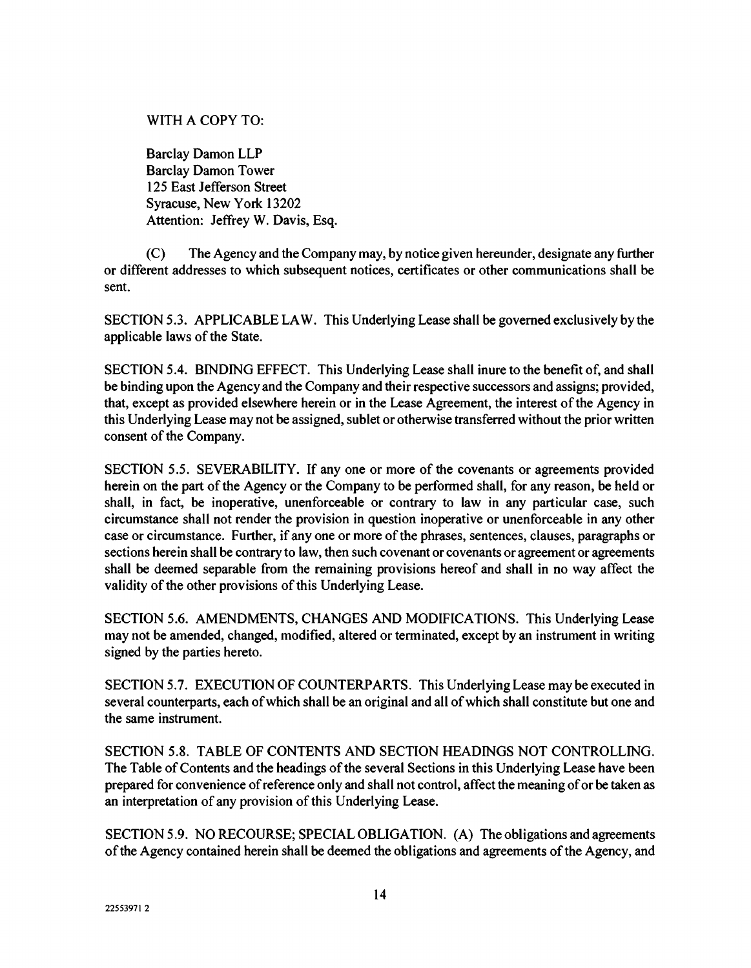## WITH A COPY TO:

Barclay Damon LLP Barclay Damon Tower 125 East Jefferson Street Syracuse, New York 13202 Attention: Jeffrey W. Davis, Esq.

(C) The Agency and the Company may, by notice given hereunder, designate any further or different addresses to which subsequent notices, certificates or other communications shall be sent.

SECTION 5.3. APPLICABLE LAW. This Underlying Lease shalt be governed exclusively by the applicable laws of the State.

SECTION 5.4. BINDING EFFECT. This Underlying Lease shall inure to the benefit of, and shall be binding upon the Agency and the Company and their respective successors and assigns; provided, that, except as provided elsewhere herein or in the Lease Agreement, the interest of the Agency in this Underlying Lease may not be assigned, sublet or otherwise transferred without the prior written consent of the Company.

SECTION 5.5. SEVERABILITY. If any one or more of the covenants or agreements provided herein on the part of the Agency or the Company to be performed shall, for any reason, be held or shall, in fact, be inoperative, unenforceable or contrary to law in any particular case, such circumstance shall not render the provision in question inoperative or unenforceable in any other case or circumstance. Further, if any one or more of the phrases, sentences, clauses, paragraphs or sections herein shall be contrary to law, then such covenant or covenants or agreement or agreements shall be deemed separable from the remaining provisions hereof and shall in no way affect the validity of the other provisions of this Underlying Lease.

SECTION 5.6. AMENDMENTS, CHANGES AND MODIFICATIONS. This Underlying Lease may not be amended, changed, modified, altered or terminated, except by an instrument in writing signed by the parties hereto.

SECTION 5.7. EXECUTION OF COUNTERPARTS. This Underlying Lease may be executed in several counterparts, each of which shall be an original and all of which shall constitute but one and the same instrument.

SECTION 5.8. TABLE OF CONTENTS AND SECTION HEADINGS NOT CONTROLLING. The Table of Contents and the headings of the several Sections in this Underlying Lease have been prepared for convenience of reference only and shall not control, affect the meaning of or be taken as an interpretation of any provision of this Underlying Lease.

SECTION 5.9. NO RECOURSE; SPECIAL OBLIGATION. (A) The obligations and agreements of the Agency contained herein shall be deemed the obligations and agreements of the Agency, and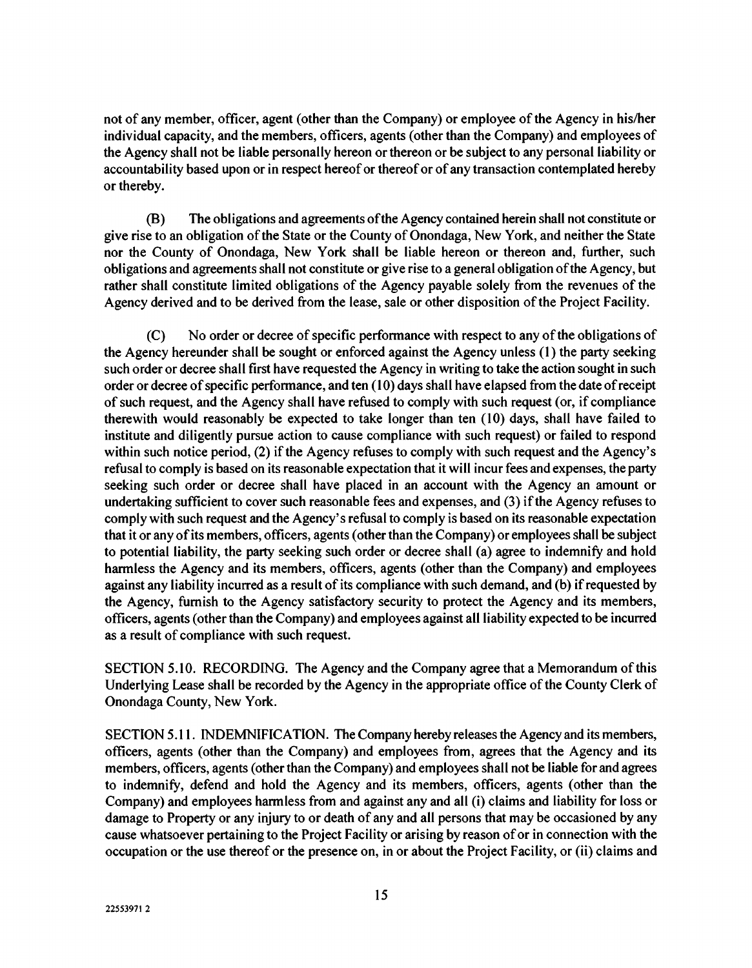not of any member, officer, agent (other than the Company) or employee of the Agency in his/her individual capacity, and the members, officers, agents (other than the Company) and employees of the Agency shall not be liable personally hereon or thereon or be subject to any personal liability or accountability based upon or in respect hereof or thereof or of any transaction contemplated hereby or thereby.

(B) The obligations and agreements of the Agency contained herein shall not constitute or give rise to an obligation of the State or the County of Onondaga, New York, and neither the State nor the County of Onondaga, New York shall be liable hereon or thereon and, further, such obligations and agreements shall not constitute or give rise to a general obligation of the Agency, but rather shall constitute limited obligations of the Agency payable solely from the revenues of the Agency derived and to be derived from the lease, sale or other disposition of the Project Facility.

(C) No order or decree of specific performance with respect to any of the obligations of the Agency hereunder shall be sought or enforced against the Agency unless (1) the party seeking such order or decree shall first have requested the Agency in writing to take the action sought in such order or decree of specific performance, and ten (10) days shall have elapsed from the date of receipt of such request, and the Agency shall have refused to comply with such request (or, if compliance therewith would reasonably be expected to take longer than ten (10) days, shall have failed to institute and diligently pursue action to cause compliance with such request) or failed to respond within such notice period, (2) if the Agency refuses to comply with such request and the Agency's refusal to comply is based on its reasonable expectation that it will incur fees and expenses, the party seeking such order or decree shall have placed in an account with the Agency an amount or undertaking sufficient to cover such reasonable fees and expenses, and (3) if the Agency refuses to comply with such request and the Agency's refusal to comply is based on its reasonable expectation that it or any of its members, officers, agents (other than the Company) or employees shall be subject to potential liability, the party seeking such order or decree shall (a) agree to indemnify and hold harmless the Agency and its members, officers, agents (other than the Company) and employees against any liability incurred as a result of its compliance with such demand, and (b) if requested by the Agency, furnish to the Agency satisfactory security to protect the Agency and its members, officers, agents (other than the Company) and employees against all liability expected to be incurred as a result of compliance with such request.

SECTION 5.10. RECORDING. The Agency and the Company agree that a Memorandum of this Underlying Lease shall be recorded by the Agency in the appropriate office of the County Clerk of Onondaga County, New York.

SECTION 5.11. INDEMNIFICATION. The Company hereby releases the Agency and its members, officers, agents (other than the Company) and employees from, agrees that the Agency and its members, officers, agents (other than the Company) and employees shall not be liable for and agrees to indemnify, defend and hold the Agency and its members, officers, agents (other than the Company) and employees harmless from and against any and all (i) claims and liability for loss or damage to Property or any injury to or death of any and all persons that may be occasioned by any cause whatsoever pertaining to the Project Facility or arising by reason of or in connection with the occupation or the use thereof or the presence on, in or about the Project Facility, or (ii) claims and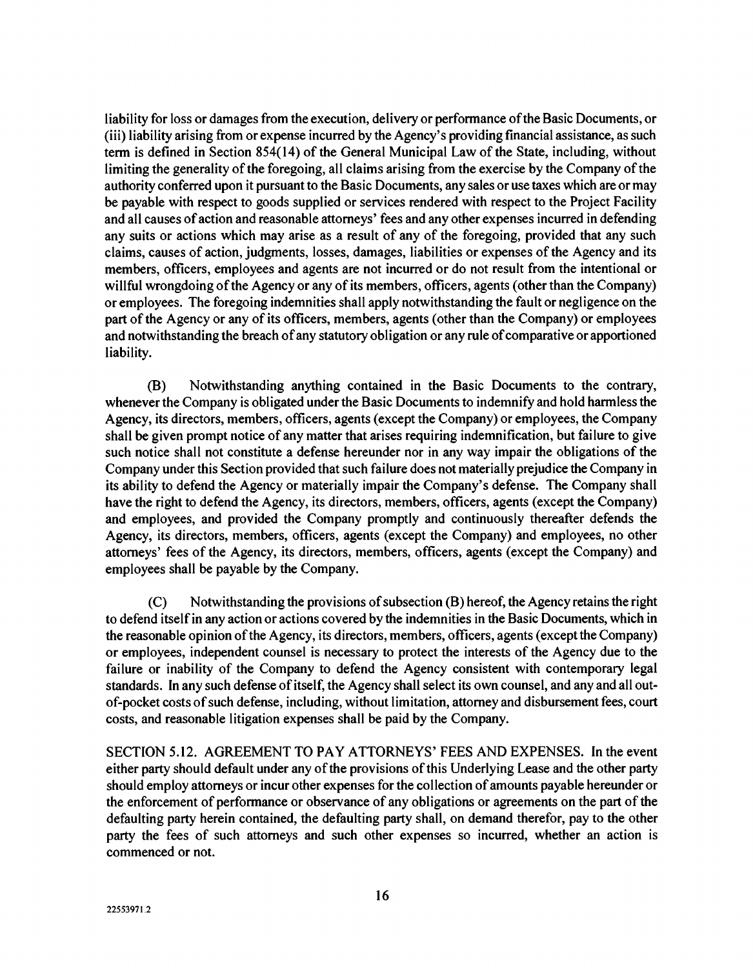liability for loss or damages from the execution, delivery or performance of the Basic Documents, or (iii) liability arising from or expense incurred by the Agency's providing financial assistance, as such term is defined in Section 854(14) of the General Municipal Law of the State, including, without limiting the generality of the foregoing, all claims arising from the exercise by the Company of the authority conferred upon it pursuant to the Basic Documents, any sales or use taxes which are or may be payable with respect to goods supplied or services rendered with respect to the Project Facility and all causes of action and reasonable attorneys' fees and any other expenses incurred in defending any suits or actions which may arise as a result of any of the foregoing, provided that any such claims, causes of action, judgments, losses, damages, liabilities or expenses of the Agency and its members, officers, employees and agents are not incurred or do not result from the intentional or willful wrongdoing of the Agency or any of its members, officers, agents (other than the Company) or employees. The foregoing indemnities shall apply notwithstanding the fault or negligence on the part of the Agency or any of its officers, members, agents (other than the Company) or employees and notwithstanding the breach of any statutory obligation or any rule of comparative or apportioned liability.

(B) Notwithstanding anything contained in the Basic Documents to the contrary, whenever the Company is obligated under the Basic Documents to indemnify and hold harmless the Agency, its directors, members, officers, agents (except the Company) or employees, the Company shall be given prompt notice of any matter that arises requiring indemnification, but failure to give such notice shall not constitute a defense hereunder nor in any way impair the obligations of the Company under this Section provided that such failure does not materially prejudice the Company in its ability to defend the Agency or materially impair the Company's defense. The Company shall have the right to defend the Agency, its directors, members, officers, agents (except the Company) and employees, and provided the Company promptly and continuously thereafter defends the Agency, its directors, members, officers, agents (except the Company) and employees, no other attorneys' fees of the Agency, its directors, members, officers, agents (except the Company) and employees shall be payable by the Company.

(C) Notwithstanding the provisions of subsection (B) hereof, the Agency retains the right to defend itself in any action or actions covered by the indemnities in the Basic Documents, which in the reasonable opinion of the Agency, its directors, members, officers, agents (except the Company) or employees, independent counsel is necessary to protect the interests of the Agency due to the failure or inability of the Company to defend the Agency consistent with contemporary legal standards. In any such defense of itself, the Agency shall select its own counsel, and any and all outof-pocket costs of such defense, including, without limitation, attorney and disbursement fees, court costs, and reasonable litigation expenses shall be paid by the Company.

SECTION 5.12. AGREEMENT TO PAY ATTORNEYS' FEES AND EXPENSES. In the event either party should default under any of the provisions of this Underlying Lease and the other party should employ attorneys or incur other expenses for the collection of amounts payable hereunder or the enforcement of performance or observance of any obligations or agreements on the part of the defaulting party herein contained, the defaulting party shall, on demand therefor, pay to the other party the fees of such attorneys and such other expenses so incurred, whether an action is commenced or not.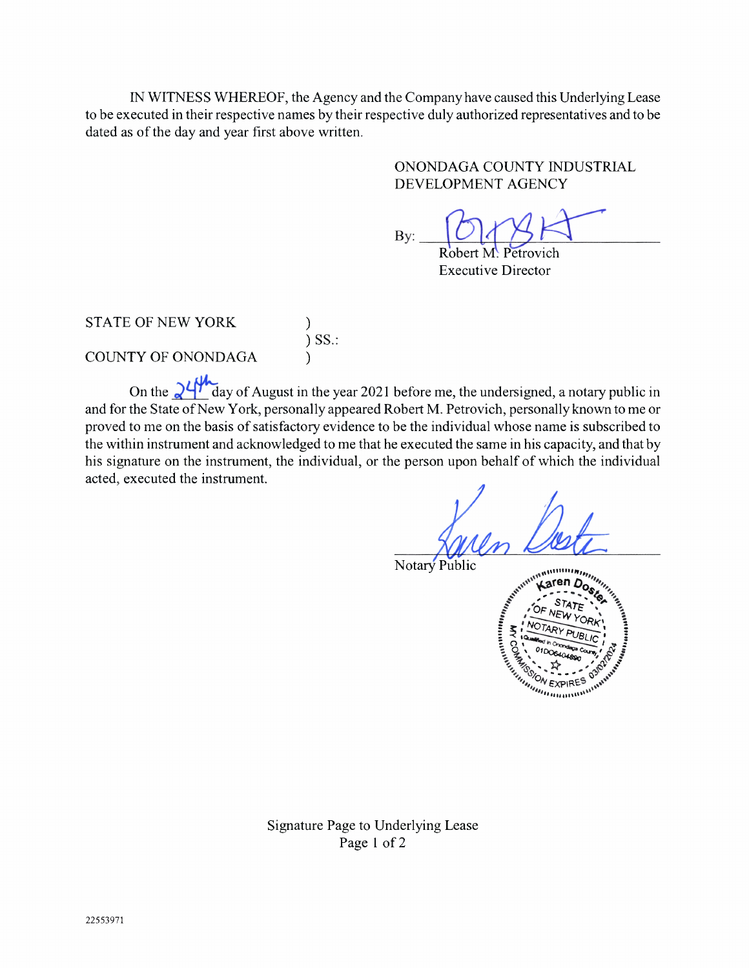IN WITNESS WHEREOF, the Agency and the Company have caused this Underlying Lease to be executed in their respective names by their respective duly authorized representatives and to be dated as of the day and year first above written.

> ONONDAGA COUNTY INDUSTRIAL DEVELOPMENT AGENCY

 $\mathbf{B}$ y:  $\overbrace{\text{Robert M. Petrovich}}$ 

Executive Director

STATE OF NEW YORK COUNTY OF ONONDAGA )

 $)$  DD.: )

On the  $\frac{94}{\text{ days}}$  day of August in the year 2021 before me, the undersigned, a notary public in and for the State of New York, personally appeared Robert M. Petrovich, personally known to me or proved to me on the basis of satisfactory evidence to be the individual whose name is subscribed to the within instrument and acknowledged to me that he executed the same in his capacity, and that by his signature on the instrument, the individual, or the person upon behalf of which the individual acted, executed the instrument.

Notary Public



Signature Page to Underlying Lease Page 1 of 2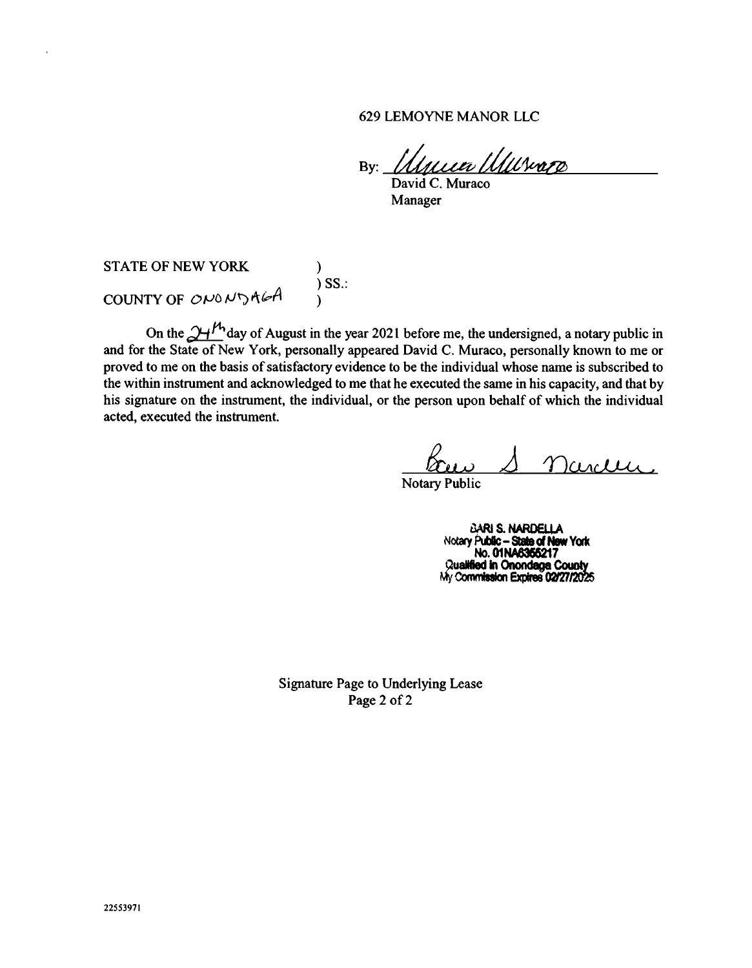629 LEMOYNE MANOR LLC

By: *Illacea Illuvare* 

David C. Muraco Manager

STATE OF NEW YORK (1997) )SS.: COUNTY OF ONONDAGA

On the  $\mathcal{Y}$ +  $^{\prime}$  day of August in the year 2021 before me, the undersigned, a notary public in and for the State of New York, personally appeared David C. Muraco, personally known to me or proved to me on the basis of satisfactory evidence to be the individual whose name is subscribed to the within instrument and acknowledged to me that he executed the same in his capacity, and that by his signature on the instrument, the individual, or the person upon behalf of which the individual acted, executed the instrument.

ander

Notary Public

BARI S. NARDELL Notary Public - State of New York No. 01NA6366217 Qualified in Onondaga County My Commission Expires 02/27/2025

Signature Page to Underlying Lease Page 2 of 2